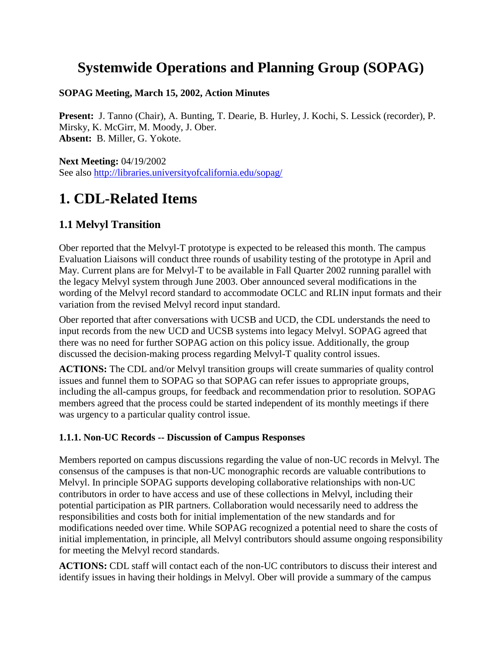## **Systemwide Operations and Planning Group (SOPAG)**

#### **SOPAG Meeting, March 15, 2002, Action Minutes**

**Present:** J. Tanno (Chair), A. Bunting, T. Dearie, B. Hurley, J. Kochi, S. Lessick (recorder), P. Mirsky, K. McGirr, M. Moody, J. Ober. **Absent:** B. Miller, G. Yokote.

**Next Meeting:** 04/19/2002 See also http://libraries.universityofcalifornia.edu/sopag/

## **1. CDL-Related Items**

### **1.1 Melvyl Transition**

Ober reported that the Melvyl-T prototype is expected to be released this month. The campus Evaluation Liaisons will conduct three rounds of usability testing of the prototype in April and May. Current plans are for Melvyl-T to be available in Fall Quarter 2002 running parallel with the legacy Melvyl system through June 2003. Ober announced several modifications in the wording of the Melvyl record standard to accommodate OCLC and RLIN input formats and their variation from the revised Melvyl record input standard.

Ober reported that after conversations with UCSB and UCD, the CDL understands the need to input records from the new UCD and UCSB systems into legacy Melvyl. SOPAG agreed that there was no need for further SOPAG action on this policy issue. Additionally, the group discussed the decision-making process regarding Melvyl-T quality control issues.

**ACTIONS:** The CDL and/or Melvyl transition groups will create summaries of quality control issues and funnel them to SOPAG so that SOPAG can refer issues to appropriate groups, including the all-campus groups, for feedback and recommendation prior to resolution. SOPAG members agreed that the process could be started independent of its monthly meetings if there was urgency to a particular quality control issue.

#### **1.1.1. Non-UC Records -- Discussion of Campus Responses**

Members reported on campus discussions regarding the value of non-UC records in Melvyl. The consensus of the campuses is that non-UC monographic records are valuable contributions to Melvyl. In principle SOPAG supports developing collaborative relationships with non-UC contributors in order to have access and use of these collections in Melvyl, including their potential participation as PIR partners. Collaboration would necessarily need to address the responsibilities and costs both for initial implementation of the new standards and for modifications needed over time. While SOPAG recognized a potential need to share the costs of initial implementation, in principle, all Melvyl contributors should assume ongoing responsibility for meeting the Melvyl record standards.

**ACTIONS:** CDL staff will contact each of the non-UC contributors to discuss their interest and identify issues in having their holdings in Melvyl. Ober will provide a summary of the campus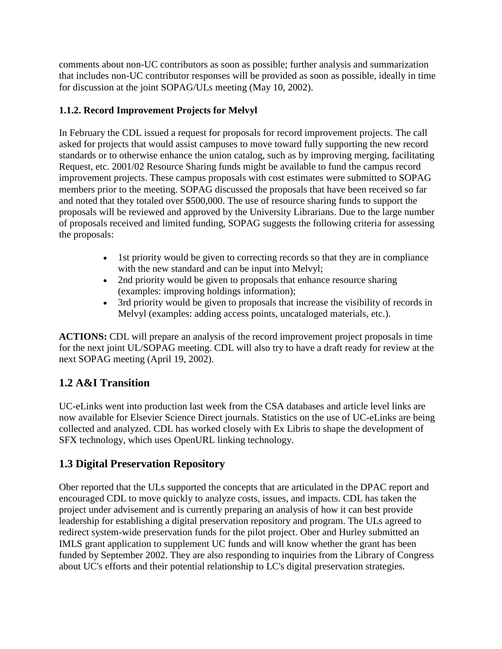comments about non-UC contributors as soon as possible; further analysis and summarization that includes non-UC contributor responses will be provided as soon as possible, ideally in time for discussion at the joint SOPAG/ULs meeting (May 10, 2002).

#### **1.1.2. Record Improvement Projects for Melvyl**

In February the CDL issued a request for proposals for record improvement projects. The call asked for projects that would assist campuses to move toward fully supporting the new record standards or to otherwise enhance the union catalog, such as by improving merging, facilitating Request, etc. 2001/02 Resource Sharing funds might be available to fund the campus record improvement projects. These campus proposals with cost estimates were submitted to SOPAG members prior to the meeting. SOPAG discussed the proposals that have been received so far and noted that they totaled over \$500,000. The use of resource sharing funds to support the proposals will be reviewed and approved by the University Librarians. Due to the large number of proposals received and limited funding, SOPAG suggests the following criteria for assessing the proposals:

- 1st priority would be given to correcting records so that they are in compliance with the new standard and can be input into Melvyl;
- 2nd priority would be given to proposals that enhance resource sharing (examples: improving holdings information);
- 3rd priority would be given to proposals that increase the visibility of records in Melvyl (examples: adding access points, uncataloged materials, etc.).

**ACTIONS:** CDL will prepare an analysis of the record improvement project proposals in time for the next joint UL/SOPAG meeting. CDL will also try to have a draft ready for review at the next SOPAG meeting (April 19, 2002).

### **1.2 A&I Transition**

UC-eLinks went into production last week from the CSA databases and article level links are now available for Elsevier Science Direct journals. Statistics on the use of UC-eLinks are being collected and analyzed. CDL has worked closely with Ex Libris to shape the development of SFX technology, which uses OpenURL linking technology.

### **1.3 Digital Preservation Repository**

Ober reported that the ULs supported the concepts that are articulated in the DPAC report and encouraged CDL to move quickly to analyze costs, issues, and impacts. CDL has taken the project under advisement and is currently preparing an analysis of how it can best provide leadership for establishing a digital preservation repository and program. The ULs agreed to redirect system-wide preservation funds for the pilot project. Ober and Hurley submitted an IMLS grant application to supplement UC funds and will know whether the grant has been funded by September 2002. They are also responding to inquiries from the Library of Congress about UC's efforts and their potential relationship to LC's digital preservation strategies.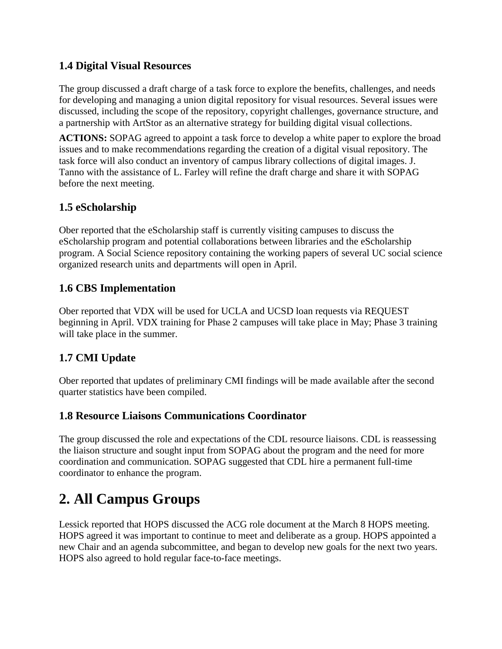#### **1.4 Digital Visual Resources**

The group discussed a draft charge of a task force to explore the benefits, challenges, and needs for developing and managing a union digital repository for visual resources. Several issues were discussed, including the scope of the repository, copyright challenges, governance structure, and a partnership with ArtStor as an alternative strategy for building digital visual collections.

**ACTIONS:** SOPAG agreed to appoint a task force to develop a white paper to explore the broad issues and to make recommendations regarding the creation of a digital visual repository. The task force will also conduct an inventory of campus library collections of digital images. J. Tanno with the assistance of L. Farley will refine the draft charge and share it with SOPAG before the next meeting.

### **1.5 eScholarship**

Ober reported that the eScholarship staff is currently visiting campuses to discuss the eScholarship program and potential collaborations between libraries and the eScholarship program. A Social Science repository containing the working papers of several UC social science organized research units and departments will open in April.

#### **1.6 CBS Implementation**

Ober reported that VDX will be used for UCLA and UCSD loan requests via REQUEST beginning in April. VDX training for Phase 2 campuses will take place in May; Phase 3 training will take place in the summer.

### **1.7 CMI Update**

Ober reported that updates of preliminary CMI findings will be made available after the second quarter statistics have been compiled.

### **1.8 Resource Liaisons Communications Coordinator**

The group discussed the role and expectations of the CDL resource liaisons. CDL is reassessing the liaison structure and sought input from SOPAG about the program and the need for more coordination and communication. SOPAG suggested that CDL hire a permanent full-time coordinator to enhance the program.

## **2. All Campus Groups**

Lessick reported that HOPS discussed the ACG role document at the March 8 HOPS meeting. HOPS agreed it was important to continue to meet and deliberate as a group. HOPS appointed a new Chair and an agenda subcommittee, and began to develop new goals for the next two years. HOPS also agreed to hold regular face-to-face meetings.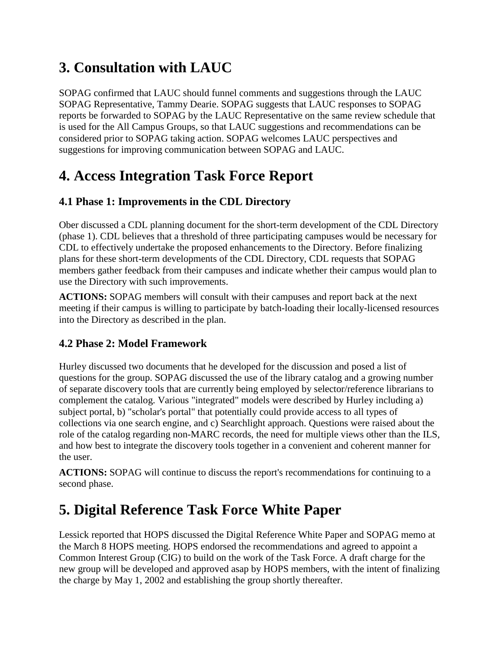# **3. Consultation with LAUC**

SOPAG confirmed that LAUC should funnel comments and suggestions through the LAUC SOPAG Representative, Tammy Dearie. SOPAG suggests that LAUC responses to SOPAG reports be forwarded to SOPAG by the LAUC Representative on the same review schedule that is used for the All Campus Groups, so that LAUC suggestions and recommendations can be considered prior to SOPAG taking action. SOPAG welcomes LAUC perspectives and suggestions for improving communication between SOPAG and LAUC.

# **4. Access Integration Task Force Report**

### **4.1 Phase 1: Improvements in the CDL Directory**

Ober discussed a CDL planning document for the short-term development of the CDL Directory (phase 1). CDL believes that a threshold of three participating campuses would be necessary for CDL to effectively undertake the proposed enhancements to the Directory. Before finalizing plans for these short-term developments of the CDL Directory, CDL requests that SOPAG members gather feedback from their campuses and indicate whether their campus would plan to use the Directory with such improvements.

**ACTIONS:** SOPAG members will consult with their campuses and report back at the next meeting if their campus is willing to participate by batch-loading their locally-licensed resources into the Directory as described in the plan.

### **4.2 Phase 2: Model Framework**

Hurley discussed two documents that he developed for the discussion and posed a list of questions for the group. SOPAG discussed the use of the library catalog and a growing number of separate discovery tools that are currently being employed by selector/reference librarians to complement the catalog. Various "integrated" models were described by Hurley including a) subject portal, b) "scholar's portal" that potentially could provide access to all types of collections via one search engine, and c) Searchlight approach. Questions were raised about the role of the catalog regarding non-MARC records, the need for multiple views other than the ILS, and how best to integrate the discovery tools together in a convenient and coherent manner for the user.

**ACTIONS:** SOPAG will continue to discuss the report's recommendations for continuing to a second phase.

# **5. Digital Reference Task Force White Paper**

Lessick reported that HOPS discussed the Digital Reference White Paper and SOPAG memo at the March 8 HOPS meeting. HOPS endorsed the recommendations and agreed to appoint a Common Interest Group (CIG) to build on the work of the Task Force. A draft charge for the new group will be developed and approved asap by HOPS members, with the intent of finalizing the charge by May 1, 2002 and establishing the group shortly thereafter.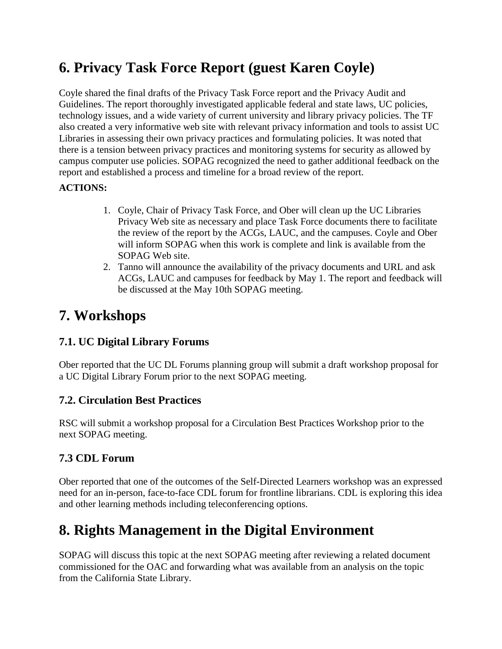# **6. Privacy Task Force Report (guest Karen Coyle)**

Coyle shared the final drafts of the Privacy Task Force report and the Privacy Audit and Guidelines. The report thoroughly investigated applicable federal and state laws, UC policies, technology issues, and a wide variety of current university and library privacy policies. The TF also created a very informative web site with relevant privacy information and tools to assist UC Libraries in assessing their own privacy practices and formulating policies. It was noted that there is a tension between privacy practices and monitoring systems for security as allowed by campus computer use policies. SOPAG recognized the need to gather additional feedback on the report and established a process and timeline for a broad review of the report.

#### **ACTIONS:**

- 1. Coyle, Chair of Privacy Task Force, and Ober will clean up the UC Libraries Privacy Web site as necessary and place Task Force documents there to facilitate the review of the report by the ACGs, LAUC, and the campuses. Coyle and Ober will inform SOPAG when this work is complete and link is available from the SOPAG Web site.
- 2. Tanno will announce the availability of the privacy documents and URL and ask ACGs, LAUC and campuses for feedback by May 1. The report and feedback will be discussed at the May 10th SOPAG meeting.

### **7. Workshops**

### **7.1. UC Digital Library Forums**

Ober reported that the UC DL Forums planning group will submit a draft workshop proposal for a UC Digital Library Forum prior to the next SOPAG meeting.

### **7.2. Circulation Best Practices**

RSC will submit a workshop proposal for a Circulation Best Practices Workshop prior to the next SOPAG meeting.

### **7.3 CDL Forum**

Ober reported that one of the outcomes of the Self-Directed Learners workshop was an expressed need for an in-person, face-to-face CDL forum for frontline librarians. CDL is exploring this idea and other learning methods including teleconferencing options.

## **8. Rights Management in the Digital Environment**

SOPAG will discuss this topic at the next SOPAG meeting after reviewing a related document commissioned for the OAC and forwarding what was available from an analysis on the topic from the California State Library.